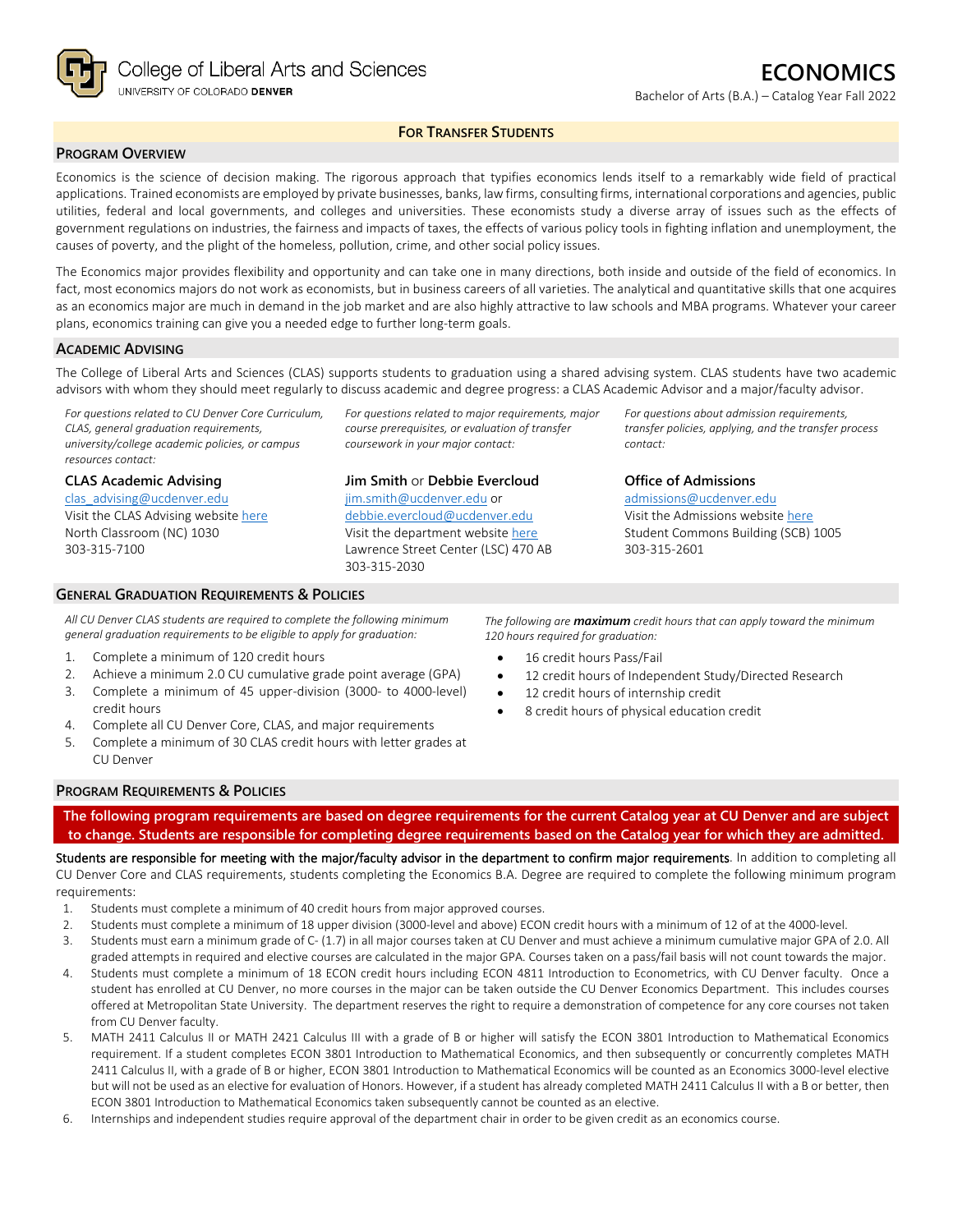

## **FOR TRANSFER STUDENTS**

### **PROGRAM OVERVIEW**

Economics is the science of decision making. The rigorous approach that typifies economics lends itself to a remarkably wide field of practical applications. Trained economists are employed by private businesses, banks, law firms, consulting firms, international corporations and agencies, public utilities, federal and local governments, and colleges and universities. These economists study a diverse array of issues such as the effects of government regulations on industries, the fairness and impacts of taxes, the effects of various policy tools in fighting inflation and unemployment, the causes of poverty, and the plight of the homeless, pollution, crime, and other social policy issues.

The Economics major provides flexibility and opportunity and can take one in many directions, both inside and outside of the field of economics. In fact, most economics majors do not work as economists, but in business careers of all varieties. The analytical and quantitative skills that one acquires as an economics major are much in demand in the job market and are also highly attractive to law schools and MBA programs. Whatever your career plans, economics training can give you a needed edge to further long-term goals.

#### **ACADEMIC ADVISING**

The College of Liberal Arts and Sciences (CLAS) supports students to graduation using a shared advising system. CLAS students have two academic advisors with whom they should meet regularly to discuss academic and degree progress: a CLAS Academic Advisor and a major/faculty advisor.

*For questions related to CU Denver Core Curriculum, CLAS, general graduation requirements, university/college academic policies, or campus resources contact:*

**CLAS Academic Advising**

[clas\\_advising@ucdenver.edu](mailto:clas_advising@ucdenver.edu) Visit the CLAS Advising websit[e here](https://clas.ucdenver.edu/advising/) North Classroom (NC) 1030 303-315-7100

*For questions related to major requirements, major course prerequisites, or evaluation of transfer coursework in your major contact:*

### **Jim Smith** or **Debbie Evercloud**

[jim.smith@ucdenver.edu](mailto:jim.smith@ucdenver.edu) or [debbie.evercloud@ucdenver.edu](mailto:debbie.evercloud@ucdenver.edu) Visit the department website [here](https://clas.ucdenver.edu/economics/) Lawrence Street Center (LSC) 470 AB 303-315-2030

*For questions about admission requirements, transfer policies, applying, and the transfer process contact:*

### **Office of Admissions**

[admissions@ucdenver.edu](mailto:admissions@ucdenver.edu) Visit the Admissions website [here](http://www.ucdenver.edu/admissions/Pages/index.aspx) Student Commons Building (SCB) 1005 303-315-2601

#### **GENERAL GRADUATION REQUIREMENTS & POLICIES**

*All CU Denver CLAS students are required to complete the following minimum general graduation requirements to be eligible to apply for graduation:* 

- 1. Complete a minimum of 120 credit hours
- 2. Achieve a minimum 2.0 CU cumulative grade point average (GPA)
- 3. Complete a minimum of 45 upper-division (3000- to 4000-level)
- credit hours 4. Complete all CU Denver Core, CLAS, and major requirements
- 5. Complete a minimum of 30 CLAS credit hours with letter grades at

*The following are maximum credit hours that can apply toward the minimum 120 hours required for graduation:*

- 16 credit hours Pass/Fail
- 12 credit hours of Independent Study/Directed Research
- 12 credit hours of internship credit
- 8 credit hours of physical education credit

### **PROGRAM REQUIREMENTS & POLICIES**

CU Denver

**The following program requirements are based on degree requirements for the current Catalog year at CU Denver and are subject to change. Students are responsible for completing degree requirements based on the Catalog year for which they are admitted.**

Students are responsible for meeting with the major/faculty advisor in the department to confirm major requirements. In addition to completing all CU Denver Core and CLAS requirements, students completing the Economics B.A. Degree are required to complete the following minimum program requirements:

- 1. Students must complete a minimum of 40 credit hours from major approved courses.
- 2. Students must complete a minimum of 18 upper division (3000-level and above) ECON credit hours with a minimum of 12 of at the 4000-level.
- 3. Students must earn a minimum grade of C- (1.7) in all major courses taken at CU Denver and must achieve a minimum cumulative major GPA of 2.0. All graded attempts in required and elective courses are calculated in the major GPA. Courses taken on a pass/fail basis will not count towards the major.
- 4. Students must complete a minimum of 18 ECON credit hours including ECON 4811 Introduction to Econometrics, with CU Denver faculty. Once a student has enrolled at CU Denver, no more courses in the major can be taken outside the CU Denver Economics Department. This includes courses offered at Metropolitan State University. The department reserves the right to require a demonstration of competence for any core courses not taken from CU Denver faculty.
- 5. MATH 2411 Calculus II or MATH 2421 Calculus III with a grade of B or higher will satisfy the ECON 3801 Introduction to Mathematical Economics requirement. If a student completes ECON 3801 Introduction to Mathematical Economics, and then subsequently or concurrently completes MATH 2411 Calculus II, with a grade of B or higher, ECON 3801 Introduction to Mathematical Economics will be counted as an Economics 3000-level elective but will not be used as an elective for evaluation of Honors. However, if a student has already completed MATH 2411 Calculus II with a B or better, then ECON 3801 Introduction to Mathematical Economics taken subsequently cannot be counted as an elective.
- 6. Internships and independent studies require approval of the department chair in order to be given credit as an economics course.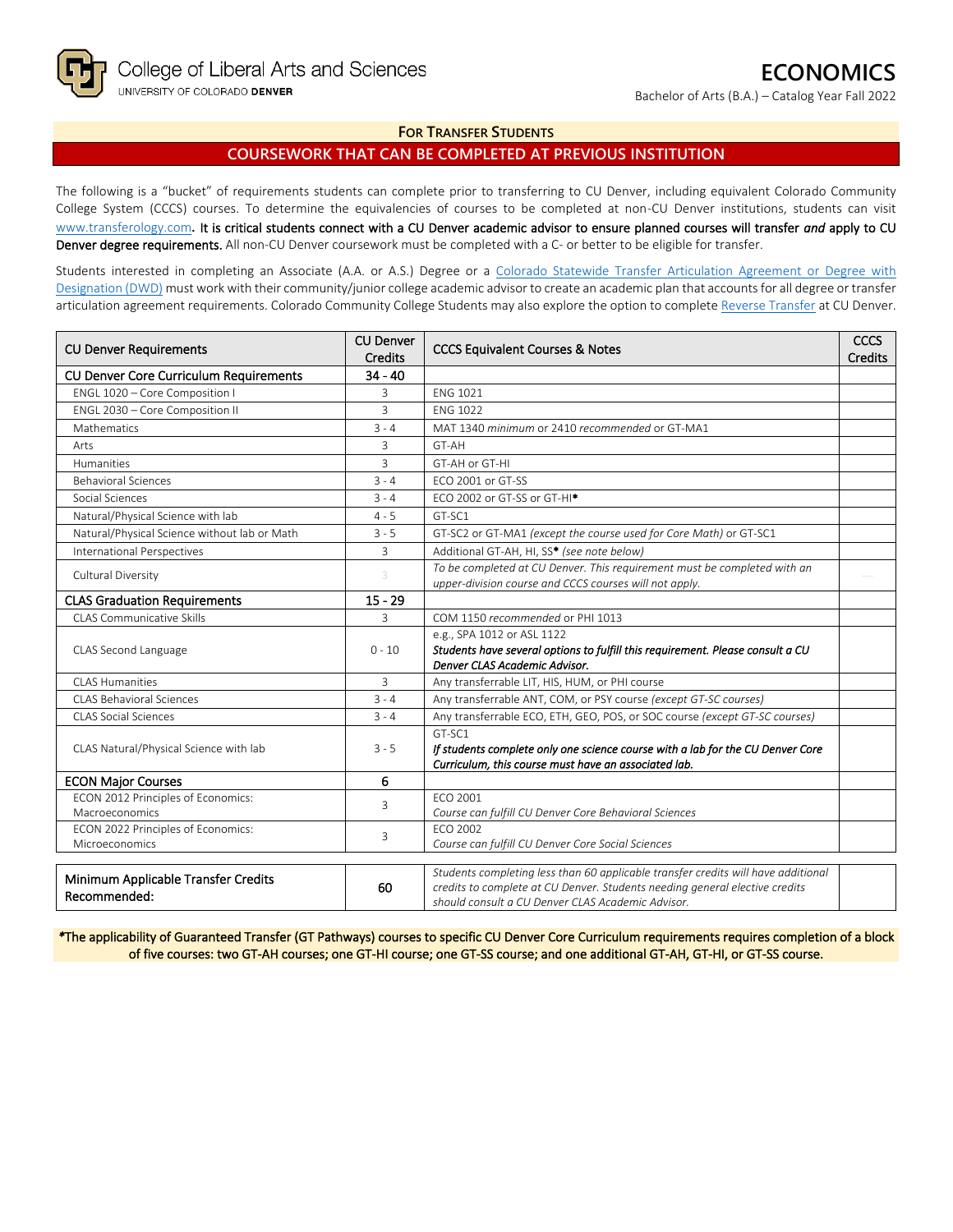Bachelor of Arts (B.A.) – Catalog Year Fall 2022

## **FOR TRANSFER STUDENTS**

# **COURSEWORK THAT CAN BE COMPLETED AT PREVIOUS INSTITUTION**

The following is a "bucket" of requirements students can complete prior to transferring to CU Denver, including equivalent Colorado Community College System (CCCS) courses. To determine the equivalencies of courses to be completed at non-CU Denver institutions, students can visit [www.transferology.com](http://www.transferology.com/)**.** It is critical students connect with a CU Denver academic advisor to ensure planned courses will transfer *and* apply to CU Denver degree requirements. All non-CU Denver coursework must be completed with a C- or better to be eligible for transfer.

Students interested in completing an Associate (A.A. or A.S.) Degree or a Colorado Statewide Transfer Articulation Agreement or Degree with [Designation \(DWD\)](https://highered.colorado.gov/transfer-degrees) must work with their community/junior college academic advisor to create an academic plan that accounts for all degree or transfer articulation agreement requirements. Colorado Community College Students may also explore the option to complet[e Reverse Transfer](https://highered.colorado.gov/students/attending-college/colorado-reverse-transfer) at CU Denver.

| <b>CU Denver Requirements</b>                        | <b>CU Denver</b><br><b>Credits</b> | <b>CCCS Equivalent Courses &amp; Notes</b>                                                                      | <b>CCCS</b><br><b>Credits</b> |
|------------------------------------------------------|------------------------------------|-----------------------------------------------------------------------------------------------------------------|-------------------------------|
| <b>CU Denver Core Curriculum Requirements</b>        | $34 - 40$                          |                                                                                                                 |                               |
| ENGL 1020 - Core Composition I                       | 3                                  | <b>ENG 1021</b>                                                                                                 |                               |
| ENGL 2030 - Core Composition II                      | 3                                  | <b>ENG 1022</b>                                                                                                 |                               |
| Mathematics                                          | $3 - 4$                            | MAT 1340 minimum or 2410 recommended or GT-MA1                                                                  |                               |
| Arts                                                 | 3                                  | GT-AH                                                                                                           |                               |
| <b>Humanities</b>                                    | 3                                  | GT-AH or GT-HI                                                                                                  |                               |
| <b>Behavioral Sciences</b>                           | $3 - 4$                            | ECO 2001 or GT-SS                                                                                               |                               |
| Social Sciences                                      | $3 - 4$                            | ECO 2002 or GT-SS or GT-HI <sup>*</sup>                                                                         |                               |
| Natural/Physical Science with lab                    | $4 - 5$                            | GT-SC1                                                                                                          |                               |
| Natural/Physical Science without lab or Math         | $3 - 5$                            | GT-SC2 or GT-MA1 (except the course used for Core Math) or GT-SC1                                               |                               |
| <b>International Perspectives</b>                    | 3                                  | Additional GT-AH, HI, SS* (see note below)                                                                      |                               |
| Cultural Diversity                                   | 3                                  | To be completed at CU Denver. This requirement must be completed with an                                        |                               |
|                                                      |                                    | upper-division course and CCCS courses will not apply.                                                          |                               |
| <b>CLAS Graduation Requirements</b>                  | $15 - 29$                          |                                                                                                                 |                               |
| <b>CLAS Communicative Skills</b>                     | 3                                  | COM 1150 recommended or PHI 1013                                                                                |                               |
|                                                      |                                    | e.g., SPA 1012 or ASL 1122                                                                                      |                               |
| CLAS Second Language                                 | $0 - 10$                           | Students have several options to fulfill this requirement. Please consult a CU<br>Denver CLAS Academic Advisor. |                               |
| <b>CLAS Humanities</b><br>3                          |                                    | Any transferrable LIT, HIS, HUM, or PHI course                                                                  |                               |
| <b>CLAS Behavioral Sciences</b>                      | $3 - 4$                            | Any transferrable ANT, COM, or PSY course (except GT-SC courses)                                                |                               |
| <b>CLAS Social Sciences</b>                          | $3 - 4$                            | Any transferrable ECO, ETH, GEO, POS, or SOC course (except GT-SC courses)                                      |                               |
|                                                      |                                    | GT-SC1                                                                                                          |                               |
| CLAS Natural/Physical Science with lab               | $3 - 5$                            | If students complete only one science course with a lab for the CU Denver Core                                  |                               |
|                                                      |                                    | Curriculum, this course must have an associated lab.                                                            |                               |
| <b>ECON Major Courses</b>                            | 6                                  |                                                                                                                 |                               |
| ECON 2012 Principles of Economics:                   | 3                                  | ECO 2001                                                                                                        |                               |
| Macroeconomics<br>ECON 2022 Principles of Economics: |                                    | Course can fulfill CU Denver Core Behavioral Sciences<br>FCO 2002                                               |                               |
| Microeconomics                                       | 3                                  | Course can fulfill CU Denver Core Social Sciences                                                               |                               |
|                                                      |                                    |                                                                                                                 |                               |
| Minimum Applicable Transfer Credits                  |                                    | Students completing less than 60 applicable transfer credits will have additional                               |                               |
| Recommended:                                         | 60                                 | credits to complete at CU Denver. Students needing general elective credits                                     |                               |
|                                                      |                                    | should consult a CU Denver CLAS Academic Advisor.                                                               |                               |

*\**The applicability of Guaranteed Transfer (GT Pathways) courses to specific CU Denver Core Curriculum requirements requires completion of a block of five courses: two GT-AH courses; one GT-HI course; one GT-SS course; and one additional GT-AH, GT-HI, or GT-SS course.